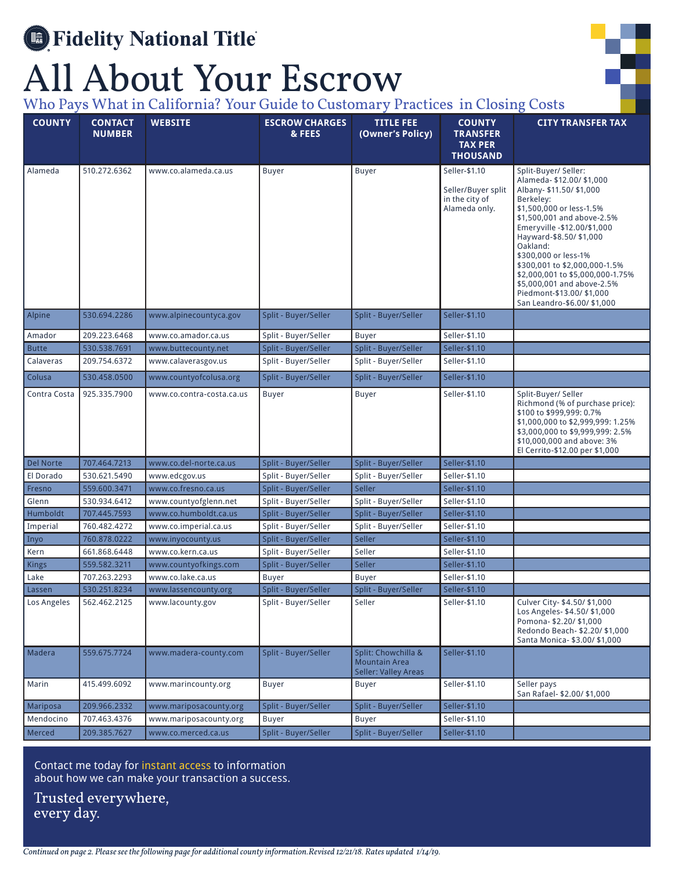## **Search** Fidelity National Title

## All About Your Escrow

Who Pays What in California? Your Guide to Customary Practices in Closing Costs

| <b>COUNTY</b>    | <b>CONTACT</b><br><b>NUMBER</b> | <b>WEBSITE</b>            | <b>ESCROW CHARGES</b><br>& FEES | <b>TITLE FEE</b><br>(Owner's Policy)                                       | <b>COUNTY</b><br><b>TRANSFER</b><br><b>TAX PER</b><br><b>THOUSAND</b>  | <b>CITY TRANSFER TAX</b>                                                                                                                                                                                                                                                                                                                                                                                         |
|------------------|---------------------------------|---------------------------|---------------------------------|----------------------------------------------------------------------------|------------------------------------------------------------------------|------------------------------------------------------------------------------------------------------------------------------------------------------------------------------------------------------------------------------------------------------------------------------------------------------------------------------------------------------------------------------------------------------------------|
| Alameda          | 510.272.6362                    | www.co.alameda.ca.us      | Buyer                           | <b>Buyer</b>                                                               | Seller-\$1.10<br>Seller/Buyer split<br>in the city of<br>Alameda only. | Split-Buyer/Seller:<br>Alameda- \$12.00/ \$1,000<br>Albany- \$11.50/ \$1,000<br>Berkeley:<br>\$1,500,000 or less-1.5%<br>\$1,500,001 and above-2.5%<br>Emeryville -\$12.00/\$1,000<br>Hayward-\$8.50/ \$1,000<br>Oakland:<br>\$300,000 or less-1%<br>\$300,001 to \$2,000,000-1.5%<br>\$2,000,001 to \$5,000,000-1.75%<br>\$5,000,001 and above-2.5%<br>Piedmont-\$13.00/ \$1,000<br>San Leandro-\$6.00/ \$1,000 |
| Alpine           | 530.694.2286                    | www.alpinecountyca.gov    | Split - Buyer/Seller            | Split - Buyer/Seller                                                       | Seller-\$1.10                                                          |                                                                                                                                                                                                                                                                                                                                                                                                                  |
| Amador           | 209.223.6468                    | www.co.amador.ca.us       | Split - Buyer/Seller            | <b>Buyer</b>                                                               | Seller-\$1.10                                                          |                                                                                                                                                                                                                                                                                                                                                                                                                  |
| <b>Butte</b>     | 530.538.7691                    | www.buttecounty.net       | Split - Buyer/Seller            | Split - Buyer/Seller                                                       | Seller-\$1.10                                                          |                                                                                                                                                                                                                                                                                                                                                                                                                  |
| Calaveras        | 209.754.6372                    | www.calaverasgov.us       | Split - Buyer/Seller            | Split - Buyer/Seller                                                       | Seller-\$1.10                                                          |                                                                                                                                                                                                                                                                                                                                                                                                                  |
| Colusa           | 530.458.0500                    | www.countyofcolusa.org    | Split - Buyer/Seller            | Split - Buyer/Seller                                                       | Seller-\$1.10                                                          |                                                                                                                                                                                                                                                                                                                                                                                                                  |
| Contra Costa     | 925.335.7900                    | www.co.contra-costa.ca.us | Buyer                           | <b>Buyer</b>                                                               | Seller-\$1.10                                                          | Split-Buyer/ Seller<br>Richmond (% of purchase price):<br>\$100 to \$999,999: 0.7%<br>\$1,000,000 to \$2,999,999: 1.25%<br>\$3,000,000 to \$9,999,999: 2.5%<br>\$10,000,000 and above: 3%<br>El Cerrito-\$12.00 per \$1,000                                                                                                                                                                                      |
| <b>Del Norte</b> | 707.464.7213                    | www.co.del-norte.ca.us    | Split - Buyer/Seller            | Split - Buyer/Seller                                                       | Seller-\$1.10                                                          |                                                                                                                                                                                                                                                                                                                                                                                                                  |
| El Dorado        | 530.621.5490                    | www.edcgov.us             | Split - Buyer/Seller            | Split - Buyer/Seller                                                       | Seller-\$1.10                                                          |                                                                                                                                                                                                                                                                                                                                                                                                                  |
| Fresno           | 559.600.3471                    | www.co.fresno.ca.us       | Split - Buyer/Seller            | Seller                                                                     | Seller-\$1.10                                                          |                                                                                                                                                                                                                                                                                                                                                                                                                  |
| Glenn            | 530.934.6412                    | www.countyofglenn.net     | Split - Buyer/Seller            | Split - Buyer/Seller                                                       | Seller-\$1.10                                                          |                                                                                                                                                                                                                                                                                                                                                                                                                  |
| Humboldt         | 707.445.7593                    | www.co.humboldt.ca.us     | Split - Buyer/Seller            | Split - Buyer/Seller                                                       | Seller-\$1.10                                                          |                                                                                                                                                                                                                                                                                                                                                                                                                  |
| Imperial         | 760.482.4272                    | www.co.imperial.ca.us     | Split - Buyer/Seller            | Split - Buyer/Seller                                                       | Seller-\$1.10                                                          |                                                                                                                                                                                                                                                                                                                                                                                                                  |
| Inyo             | 760.878.0222                    | www.inyocounty.us         | Split - Buyer/Seller            | Seller                                                                     | Seller-\$1.10                                                          |                                                                                                                                                                                                                                                                                                                                                                                                                  |
| Kern             | 661.868.6448                    | www.co.kern.ca.us         | Split - Buyer/Seller            | Seller                                                                     | Seller-\$1.10                                                          |                                                                                                                                                                                                                                                                                                                                                                                                                  |
| Kings            | 559.582.3211                    | www.countyofkings.com     | Split - Buyer/Seller            | Seller                                                                     | Seller-\$1.10                                                          |                                                                                                                                                                                                                                                                                                                                                                                                                  |
| Lake             | 707.263.2293                    | www.co.lake.ca.us         | <b>Buyer</b>                    | <b>Buyer</b>                                                               | Seller-\$1.10                                                          |                                                                                                                                                                                                                                                                                                                                                                                                                  |
| Lassen           | 530.251.8234                    | www.lassencounty.org      | Split - Buyer/Seller            | Split - Buyer/Seller                                                       | Seller-\$1.10                                                          |                                                                                                                                                                                                                                                                                                                                                                                                                  |
| Los Angeles      | 562.462.2125                    | www.lacounty.gov          | Split - Buyer/Seller            | Seller                                                                     | Seller-\$1.10                                                          | Culver City- \$4.50/ \$1,000<br>Los Angeles- \$4.50/ \$1,000<br>Pomona- \$2.20/ \$1,000<br>Redondo Beach- \$2.20/ \$1,000<br>Santa Monica- \$3.00/ \$1,000                                                                                                                                                                                                                                                       |
| Madera           | 559.675.7724                    | www.madera-county.com     | Split - Buyer/Seller            | Split: Chowchilla &<br><b>Mountain Area</b><br><b>Seller: Valley Areas</b> | Seller-\$1.10                                                          |                                                                                                                                                                                                                                                                                                                                                                                                                  |
| Marin            | 415.499.6092                    | www.marincounty.org       | Buyer                           | <b>Buyer</b>                                                               | Seller-\$1.10                                                          | Seller pays<br>San Rafael- \$2.00/ \$1,000                                                                                                                                                                                                                                                                                                                                                                       |
| Mariposa         | 209.966.2332                    | www.mariposacounty.org    | Split - Buyer/Seller            | Split - Buyer/Seller                                                       | Seller-\$1.10                                                          |                                                                                                                                                                                                                                                                                                                                                                                                                  |
| Mendocino        | 707.463.4376                    | www.mariposacounty.org    | Buyer                           | <b>Buyer</b>                                                               | Seller-\$1.10                                                          |                                                                                                                                                                                                                                                                                                                                                                                                                  |
| Merced           | 209.385.7627                    | www.co.merced.ca.us       | Split - Buyer/Seller            | Split - Buyer/Seller                                                       | Seller-\$1.10                                                          |                                                                                                                                                                                                                                                                                                                                                                                                                  |
|                  |                                 |                           |                                 |                                                                            |                                                                        |                                                                                                                                                                                                                                                                                                                                                                                                                  |

Contact me today for instant access to information about how we can make your transaction a success.

Trusted everywhere, every day.